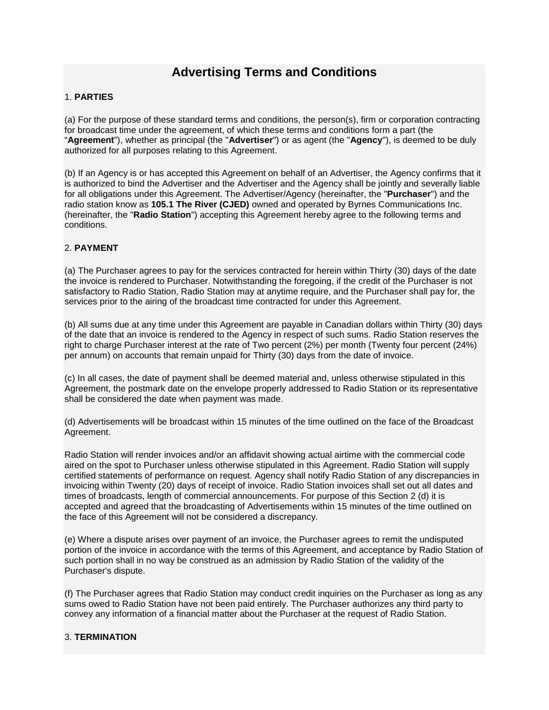# **Advertising Terms and Conditions**

## 1. **PARTIES**

(a) For the purpose of these standard terms and conditions, the person(s), firm or corporation contracting for broadcast time under the agreement, of which these terms and conditions form a part (the "**Agreement**"), whether as principal (the "**Advertiser**") or as agent (the "**Agency**"), is deemed to be duly authorized for all purposes relating to this Agreement.

(b) If an Agency is or has accepted this Agreement on behalf of an Advertiser, the Agency confirms that it is authorized to bind the Advertiser and the Advertiser and the Agency shall be jointly and severally liable for all obligations under this Agreement. The Advertiser/Agency (hereinafter, the "**Purchaser**") and the radio station know as **105.1 The River (CJED)** owned and operated by Byrnes Communications Inc. (hereinafter, the "**Radio Station**") accepting this Agreement hereby agree to the following terms and conditions.

# 2. **PAYMENT**

(a) The Purchaser agrees to pay for the services contracted for herein within Thirty (30) days of the date the invoice is rendered to Purchaser. Notwithstanding the foregoing, if the credit of the Purchaser is not satisfactory to Radio Station, Radio Station may at anytime require, and the Purchaser shall pay for, the services prior to the airing of the broadcast time contracted for under this Agreement.

(b) All sums due at any time under this Agreement are payable in Canadian dollars within Thirty (30) days of the date that an invoice is rendered to the Agency in respect of such sums. Radio Station reserves the right to charge Purchaser interest at the rate of Two percent (2%) per month (Twenty four percent (24%) per annum) on accounts that remain unpaid for Thirty (30) days from the date of invoice.

(c) In all cases, the date of payment shall be deemed material and, unless otherwise stipulated in this Agreement, the postmark date on the envelope properly addressed to Radio Station or its representative shall be considered the date when payment was made.

(d) Advertisements will be broadcast within 15 minutes of the time outlined on the face of the Broadcast Agreement.

Radio Station will render invoices and/or an affidavit showing actual airtime with the commercial code aired on the spot to Purchaser unless otherwise stipulated in this Agreement. Radio Station will supply certified statements of performance on request. Agency shall notify Radio Station of any discrepancies in invoicing within Twenty (20) days of receipt of invoice. Radio Station invoices shall set out all dates and times of broadcasts, length of commercial announcements. For purpose of this Section 2 (d) it is accepted and agreed that the broadcasting of Advertisements within 15 minutes of the time outlined on the face of this Agreement will not be considered a discrepancy.

(e) Where a dispute arises over payment of an invoice, the Purchaser agrees to remit the undisputed portion of the invoice in accordance with the terms of this Agreement, and acceptance by Radio Station of such portion shall in no way be construed as an admission by Radio Station of the validity of the Purchaser's dispute.

(f) The Purchaser agrees that Radio Station may conduct credit inquiries on the Purchaser as long as any sums owed to Radio Station have not been paid entirely. The Purchaser authorizes any third party to convey any information of a financial matter about the Purchaser at the request of Radio Station.

## 3. **TERMINATION**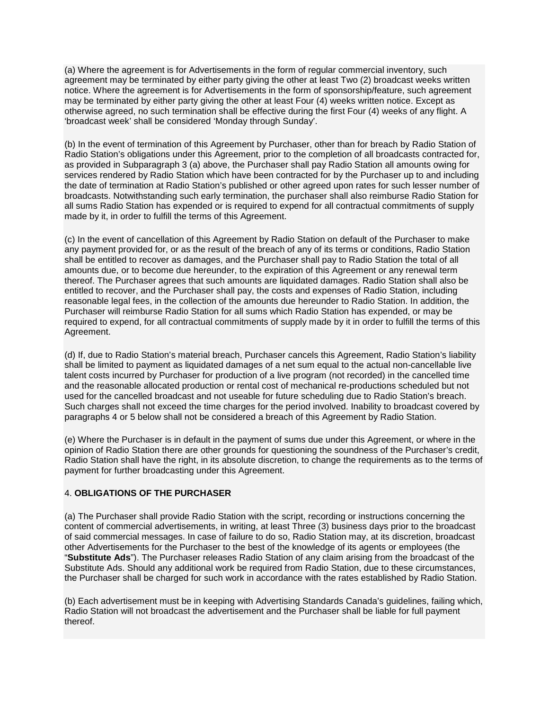(a) Where the agreement is for Advertisements in the form of regular commercial inventory, such agreement may be terminated by either party giving the other at least Two (2) broadcast weeks written notice. Where the agreement is for Advertisements in the form of sponsorship/feature, such agreement may be terminated by either party giving the other at least Four (4) weeks written notice. Except as otherwise agreed, no such termination shall be effective during the first Four (4) weeks of any flight. A 'broadcast week' shall be considered 'Monday through Sunday'.

(b) In the event of termination of this Agreement by Purchaser, other than for breach by Radio Station of Radio Station's obligations under this Agreement, prior to the completion of all broadcasts contracted for, as provided in Subparagraph 3 (a) above, the Purchaser shall pay Radio Station all amounts owing for services rendered by Radio Station which have been contracted for by the Purchaser up to and including the date of termination at Radio Station's published or other agreed upon rates for such lesser number of broadcasts. Notwithstanding such early termination, the purchaser shall also reimburse Radio Station for all sums Radio Station has expended or is required to expend for all contractual commitments of supply made by it, in order to fulfill the terms of this Agreement.

(c) In the event of cancellation of this Agreement by Radio Station on default of the Purchaser to make any payment provided for, or as the result of the breach of any of its terms or conditions, Radio Station shall be entitled to recover as damages, and the Purchaser shall pay to Radio Station the total of all amounts due, or to become due hereunder, to the expiration of this Agreement or any renewal term thereof. The Purchaser agrees that such amounts are liquidated damages. Radio Station shall also be entitled to recover, and the Purchaser shall pay, the costs and expenses of Radio Station, including reasonable legal fees, in the collection of the amounts due hereunder to Radio Station. In addition, the Purchaser will reimburse Radio Station for all sums which Radio Station has expended, or may be required to expend, for all contractual commitments of supply made by it in order to fulfill the terms of this Agreement.

(d) If, due to Radio Station's material breach, Purchaser cancels this Agreement, Radio Station's liability shall be limited to payment as liquidated damages of a net sum equal to the actual non-cancellable live talent costs incurred by Purchaser for production of a live program (not recorded) in the cancelled time and the reasonable allocated production or rental cost of mechanical re-productions scheduled but not used for the cancelled broadcast and not useable for future scheduling due to Radio Station's breach. Such charges shall not exceed the time charges for the period involved. Inability to broadcast covered by paragraphs 4 or 5 below shall not be considered a breach of this Agreement by Radio Station.

(e) Where the Purchaser is in default in the payment of sums due under this Agreement, or where in the opinion of Radio Station there are other grounds for questioning the soundness of the Purchaser's credit, Radio Station shall have the right, in its absolute discretion, to change the requirements as to the terms of payment for further broadcasting under this Agreement.

## 4. **OBLIGATIONS OF THE PURCHASER**

(a) The Purchaser shall provide Radio Station with the script, recording or instructions concerning the content of commercial advertisements, in writing, at least Three (3) business days prior to the broadcast of said commercial messages. In case of failure to do so, Radio Station may, at its discretion, broadcast other Advertisements for the Purchaser to the best of the knowledge of its agents or employees (the "**Substitute Ads**"). The Purchaser releases Radio Station of any claim arising from the broadcast of the Substitute Ads. Should any additional work be required from Radio Station, due to these circumstances, the Purchaser shall be charged for such work in accordance with the rates established by Radio Station.

(b) Each advertisement must be in keeping with Advertising Standards Canada's guidelines, failing which, Radio Station will not broadcast the advertisement and the Purchaser shall be liable for full payment thereof.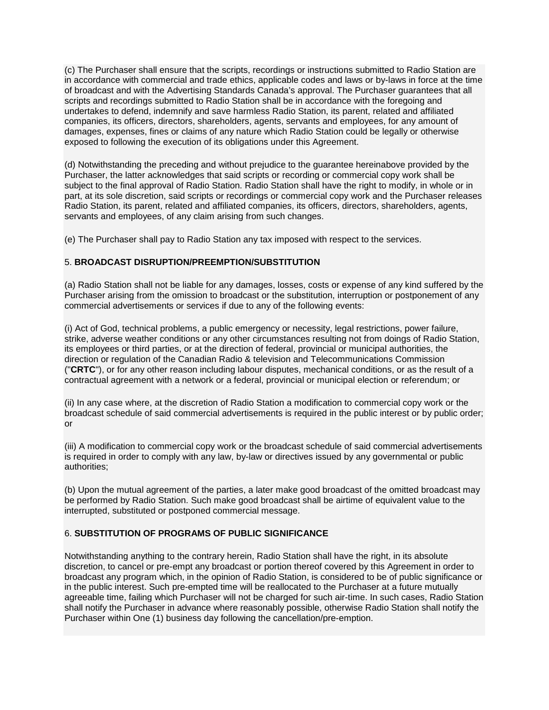(c) The Purchaser shall ensure that the scripts, recordings or instructions submitted to Radio Station are in accordance with commercial and trade ethics, applicable codes and laws or by-laws in force at the time of broadcast and with the Advertising Standards Canada's approval. The Purchaser guarantees that all scripts and recordings submitted to Radio Station shall be in accordance with the foregoing and undertakes to defend, indemnify and save harmless Radio Station, its parent, related and affiliated companies, its officers, directors, shareholders, agents, servants and employees, for any amount of damages, expenses, fines or claims of any nature which Radio Station could be legally or otherwise exposed to following the execution of its obligations under this Agreement.

(d) Notwithstanding the preceding and without prejudice to the guarantee hereinabove provided by the Purchaser, the latter acknowledges that said scripts or recording or commercial copy work shall be subject to the final approval of Radio Station. Radio Station shall have the right to modify, in whole or in part, at its sole discretion, said scripts or recordings or commercial copy work and the Purchaser releases Radio Station, its parent, related and affiliated companies, its officers, directors, shareholders, agents, servants and employees, of any claim arising from such changes.

(e) The Purchaser shall pay to Radio Station any tax imposed with respect to the services.

## 5. **BROADCAST DISRUPTION/PREEMPTION/SUBSTITUTION**

(a) Radio Station shall not be liable for any damages, losses, costs or expense of any kind suffered by the Purchaser arising from the omission to broadcast or the substitution, interruption or postponement of any commercial advertisements or services if due to any of the following events:

(i) Act of God, technical problems, a public emergency or necessity, legal restrictions, power failure, strike, adverse weather conditions or any other circumstances resulting not from doings of Radio Station, its employees or third parties, or at the direction of federal, provincial or municipal authorities, the direction or regulation of the Canadian Radio & television and Telecommunications Commission ("**CRTC**"), or for any other reason including labour disputes, mechanical conditions, or as the result of a contractual agreement with a network or a federal, provincial or municipal election or referendum; or

(ii) In any case where, at the discretion of Radio Station a modification to commercial copy work or the broadcast schedule of said commercial advertisements is required in the public interest or by public order; or

(iii) A modification to commercial copy work or the broadcast schedule of said commercial advertisements is required in order to comply with any law, by-law or directives issued by any governmental or public authorities;

(b) Upon the mutual agreement of the parties, a later make good broadcast of the omitted broadcast may be performed by Radio Station. Such make good broadcast shall be airtime of equivalent value to the interrupted, substituted or postponed commercial message.

## 6. **SUBSTITUTION OF PROGRAMS OF PUBLIC SIGNIFICANCE**

Notwithstanding anything to the contrary herein, Radio Station shall have the right, in its absolute discretion, to cancel or pre-empt any broadcast or portion thereof covered by this Agreement in order to broadcast any program which, in the opinion of Radio Station, is considered to be of public significance or in the public interest. Such pre-empted time will be reallocated to the Purchaser at a future mutually agreeable time, failing which Purchaser will not be charged for such air-time. In such cases, Radio Station shall notify the Purchaser in advance where reasonably possible, otherwise Radio Station shall notify the Purchaser within One (1) business day following the cancellation/pre-emption.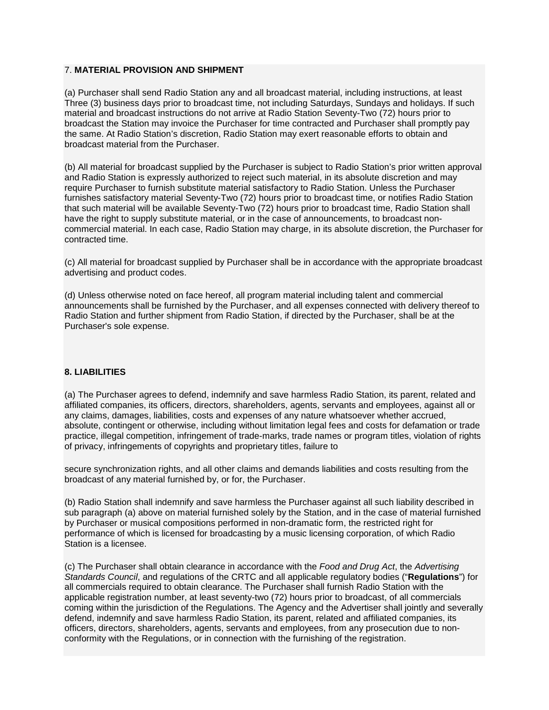#### 7. **MATERIAL PROVISION AND SHIPMENT**

(a) Purchaser shall send Radio Station any and all broadcast material, including instructions, at least Three (3) business days prior to broadcast time, not including Saturdays, Sundays and holidays. If such material and broadcast instructions do not arrive at Radio Station Seventy-Two (72) hours prior to broadcast the Station may invoice the Purchaser for time contracted and Purchaser shall promptly pay the same. At Radio Station's discretion, Radio Station may exert reasonable efforts to obtain and broadcast material from the Purchaser.

(b) All material for broadcast supplied by the Purchaser is subject to Radio Station's prior written approval and Radio Station is expressly authorized to reject such material, in its absolute discretion and may require Purchaser to furnish substitute material satisfactory to Radio Station. Unless the Purchaser furnishes satisfactory material Seventy-Two (72) hours prior to broadcast time, or notifies Radio Station that such material will be available Seventy-Two (72) hours prior to broadcast time, Radio Station shall have the right to supply substitute material, or in the case of announcements, to broadcast noncommercial material. In each case, Radio Station may charge, in its absolute discretion, the Purchaser for contracted time.

(c) All material for broadcast supplied by Purchaser shall be in accordance with the appropriate broadcast advertising and product codes.

(d) Unless otherwise noted on face hereof, all program material including talent and commercial announcements shall be furnished by the Purchaser, and all expenses connected with delivery thereof to Radio Station and further shipment from Radio Station, if directed by the Purchaser, shall be at the Purchaser's sole expense.

## **8. LIABILITIES**

(a) The Purchaser agrees to defend, indemnify and save harmless Radio Station, its parent, related and affiliated companies, its officers, directors, shareholders, agents, servants and employees, against all or any claims, damages, liabilities, costs and expenses of any nature whatsoever whether accrued, absolute, contingent or otherwise, including without limitation legal fees and costs for defamation or trade practice, illegal competition, infringement of trade-marks, trade names or program titles, violation of rights of privacy, infringements of copyrights and proprietary titles, failure to

secure synchronization rights, and all other claims and demands liabilities and costs resulting from the broadcast of any material furnished by, or for, the Purchaser.

(b) Radio Station shall indemnify and save harmless the Purchaser against all such liability described in sub paragraph (a) above on material furnished solely by the Station, and in the case of material furnished by Purchaser or musical compositions performed in non-dramatic form, the restricted right for performance of which is licensed for broadcasting by a music licensing corporation, of which Radio Station is a licensee.

(c) The Purchaser shall obtain clearance in accordance with the *Food and Drug Act*, the *Advertising Standards Council*, and regulations of the CRTC and all applicable regulatory bodies ("**Regulations**") for all commercials required to obtain clearance. The Purchaser shall furnish Radio Station with the applicable registration number, at least seventy-two (72) hours prior to broadcast, of all commercials coming within the jurisdiction of the Regulations. The Agency and the Advertiser shall jointly and severally defend, indemnify and save harmless Radio Station, its parent, related and affiliated companies, its officers, directors, shareholders, agents, servants and employees, from any prosecution due to nonconformity with the Regulations, or in connection with the furnishing of the registration.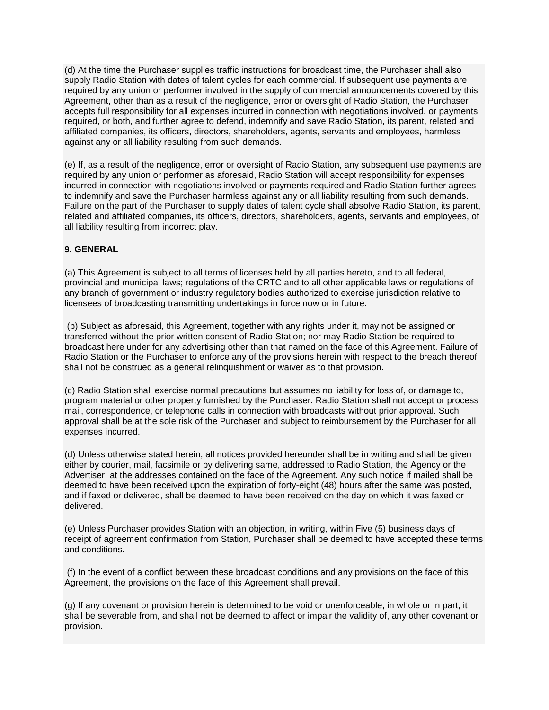(d) At the time the Purchaser supplies traffic instructions for broadcast time, the Purchaser shall also supply Radio Station with dates of talent cycles for each commercial. If subsequent use payments are required by any union or performer involved in the supply of commercial announcements covered by this Agreement, other than as a result of the negligence, error or oversight of Radio Station, the Purchaser accepts full responsibility for all expenses incurred in connection with negotiations involved, or payments required, or both, and further agree to defend, indemnify and save Radio Station, its parent, related and affiliated companies, its officers, directors, shareholders, agents, servants and employees, harmless against any or all liability resulting from such demands.

(e) If, as a result of the negligence, error or oversight of Radio Station, any subsequent use payments are required by any union or performer as aforesaid, Radio Station will accept responsibility for expenses incurred in connection with negotiations involved or payments required and Radio Station further agrees to indemnify and save the Purchaser harmless against any or all liability resulting from such demands. Failure on the part of the Purchaser to supply dates of talent cycle shall absolve Radio Station, its parent, related and affiliated companies, its officers, directors, shareholders, agents, servants and employees, of all liability resulting from incorrect play.

#### **9. GENERAL**

(a) This Agreement is subject to all terms of licenses held by all parties hereto, and to all federal, provincial and municipal laws; regulations of the CRTC and to all other applicable laws or regulations of any branch of government or industry regulatory bodies authorized to exercise jurisdiction relative to licensees of broadcasting transmitting undertakings in force now or in future.

(b) Subject as aforesaid, this Agreement, together with any rights under it, may not be assigned or transferred without the prior written consent of Radio Station; nor may Radio Station be required to broadcast here under for any advertising other than that named on the face of this Agreement. Failure of Radio Station or the Purchaser to enforce any of the provisions herein with respect to the breach thereof shall not be construed as a general relinquishment or waiver as to that provision.

(c) Radio Station shall exercise normal precautions but assumes no liability for loss of, or damage to, program material or other property furnished by the Purchaser. Radio Station shall not accept or process mail, correspondence, or telephone calls in connection with broadcasts without prior approval. Such approval shall be at the sole risk of the Purchaser and subject to reimbursement by the Purchaser for all expenses incurred.

(d) Unless otherwise stated herein, all notices provided hereunder shall be in writing and shall be given either by courier, mail, facsimile or by delivering same, addressed to Radio Station, the Agency or the Advertiser, at the addresses contained on the face of the Agreement. Any such notice if mailed shall be deemed to have been received upon the expiration of forty-eight (48) hours after the same was posted, and if faxed or delivered, shall be deemed to have been received on the day on which it was faxed or delivered.

(e) Unless Purchaser provides Station with an objection, in writing, within Five (5) business days of receipt of agreement confirmation from Station, Purchaser shall be deemed to have accepted these terms and conditions.

(f) In the event of a conflict between these broadcast conditions and any provisions on the face of this Agreement, the provisions on the face of this Agreement shall prevail.

(g) If any covenant or provision herein is determined to be void or unenforceable, in whole or in part, it shall be severable from, and shall not be deemed to affect or impair the validity of, any other covenant or provision.